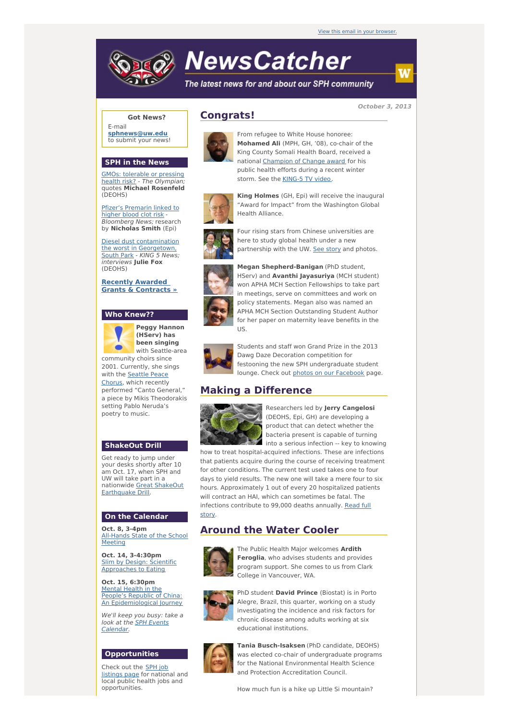# **NewsCatcher**

Health Alliance.

The latest news for and about our SPH community

**October 3, 2013**

#### **Got News?**

E-mail **[sphnews@uw.edu](mailto:sphnews@uw.edu)** to submit your news!

#### **SPH in the News**

GMOs: tolerable or pressing health risk? - The [Olympian](http://engage.washington.edu/site/R?i=1uVTZ9-1Nr6aTJMslFS-cw); quotes **Michael Rosenfeld** (DEOHS)

Pfizer's [Premarin](http://engage.washington.edu/site/R?i=9GemmWgiWVwXwI6UvlmnnA) linked to higher blood clot risk - **Bloomberg News; research** by **Nicholas Smith** (Epi)

Diesel dust [contamination](http://engage.washington.edu/site/R?i=E1byCUIfvee_CY_peOSCEw) the worst in Georgetown, South Park - KING 5 News; interviews **Julie Fox** (DEOHS)

**Recently Awarded Grants & [Contracts](http://engage.washington.edu/site/R?i=JsM_WGXajQvy_BPSSAHCwQ) »**

#### **Who Knew??**



**Peggy Hannon (HServ) has been singing** with Seattle-area

community choirs since 2001. Currently, she sings with the Seattle Peace [Chorus,](http://engage.washington.edu/site/R?i=2tYl12ipROkY254c38FTCQ) which recently performed "Canto General," a piece by Mikis Theodorakis setting Pablo Neruda's poetry to music.

#### **ShakeOut Drill**

Get ready to jump under your desks shortly after 10 am Oct. 17, when SPH and UW will take part in a [nationwide](http://engage.washington.edu/site/R?i=5POBGYwzyYyGpqn8Mo4J9Q) Great ShakeOut Earthquake Drill.

#### **On the Calendar**

**Oct. 8, 3-4pm** [All-Hands](http://engage.washington.edu/site/R?i=ErkNbO6ytTOeatuUWYceTg) State of the School Meeting

**Oct. 14, 3-4:30pm** Slim by Design: Scientific [Approaches](http://engage.washington.edu/site/R?i=QMZ7x4PSaFPWMVG4I8Zjvw) to Eating

**Oct. 15, 6:30pm** Mental Health in the People's Republic of China: An [Epidemiological](http://engage.washington.edu/site/R?i=w1GJs7dUtIlY2ePat6RyHg) Journey

We'll keep you busy: take a look at the **SPH Events** [Calendar.](http://engage.washington.edu/site/R?i=46Q348CkjRtnmDHtC_Z8xg)

#### **Opportunities**

Check out the SPH job [listings](http://engage.washington.edu/site/R?i=ey8V9RVuEwZ3gjUAHtLvxQ) page for national and local public health jobs and opportunities.







Four rising stars from Chinese universities are here to study global health under a new partnership with the UW. See [story](http://engage.washington.edu/site/R?i=MO13dML88_QyrXW7lq7kGQ) and photos.

**Megan Shepherd-Banigan** (PhD student,

**King Holmes** (GH, Epi) will receive the inaugural "Award for Impact" from the Washington Global



HServ) and **Avanthi Jayasuriya** (MCH student) won APHA MCH Section Fellowships to take part in meetings, serve on committees and work on policy statements. Megan also was named an APHA MCH Section Outstanding Student Author for her paper on maternity leave benefits in the US.



Students and staff won Grand Prize in the 2013 Dawg Daze Decoration competition for festooning the new SPH undergraduate student lounge. Check out photos on our [Facebook](http://engage.washington.edu/site/R?i=LeOz4ulILlxCHMp-B60jEQ) page.

## **Making a Difference**



Researchers led by **Jerry Cangelosi** (DEOHS, Epi, GH) are developing a product that can detect whether the bacteria present is capable of turning into a serious infection -- key to knowing

how to treat hospital-acquired infections. These are infections that patients acquire during the course of receiving treatment for other conditions. The current test used takes one to four days to yield results. The new one will take a mere four to six hours. Approximately 1 out of every 20 hospitalized patients will contract an HAI, which can sometimes be fatal. The infections [contribute](http://engage.washington.edu/site/R?i=5Yb6dTdo9eQf2FN0dt2Wsw) to 99,000 deaths annually. Read full

### story.

# **Around the Water Cooler**



The Public Health Major welcomes **Ardith Feroglia**, who advises students and provides program support. She comes to us from Clark College in Vancouver, WA.



PhD student **David Prince** (Biostat) is in Porto Alegre, Brazil, this quarter, working on a study investigating the incidence and risk factors for chronic disease among adults working at six educational institutions.



**Tania Busch-Isaksen** (PhD candidate, DEOHS) was elected co-chair of undergraduate programs for the National Environmental Health Science and Protection Accreditation Council.

How much fun is a hike up Little Si mountain?